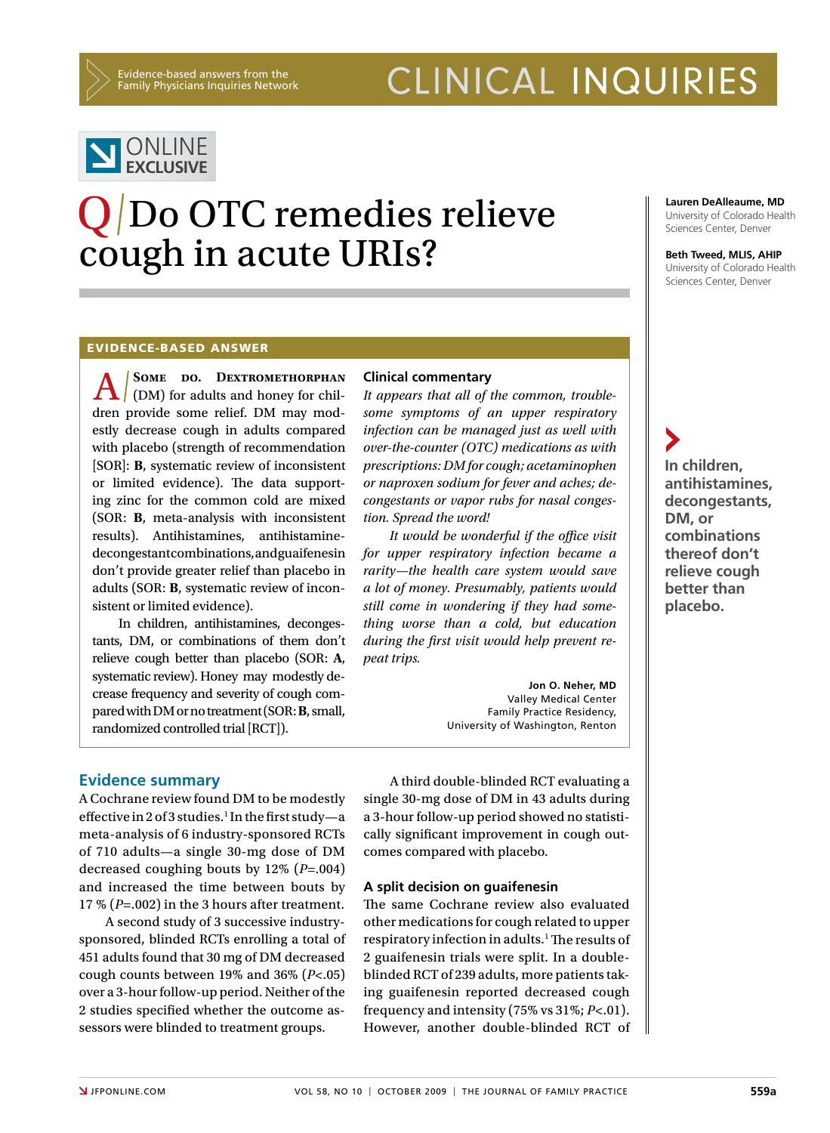# CLINICAL INQUIRIES



# Q/Do OTC remedies relieve cough in acute URIs?

**Lauren DeAlleaume, MD** University of Colorado Health Sciences Center, Denver

**Beth Tweed, MLIS, AHIP** University of Colorado Health Sciences Center, Denver

**In children, antihistamines, decongestants,** 

**DM, or combinations thereof don't relieve cough better than placebo.** 

#### Evidence-based answer

**A** SOME DO. DEXTROMETHORPHAN
(DM) for adults and honey for children provide some relief. DM may modestly decrease cough in adults compared with placebo (strength of recommendation [SOR]: **B**, systematic review of inconsistent or limited evidence). The data supporting zinc for the common cold are mixed (SOR: **B**, meta-analysis with inconsistent results). Antihistamines, antihistaminedecongestantcombinations,andguaifenesin don't provide greater relief than placebo in adults (SOR: **B**, systematic review of inconsistent or limited evidence).

In children, antihistamines, decongestants, DM, or combinations of them don't relieve cough better than placebo (SOR: **A**, systematic review). Honey may modestly decrease frequency and severity of cough comparedwithDMornotreatment(SOR:**B**,small, randomized controlled trial [RCT]).

### **Clinical commentary**

*It appears that all of the common, troublesome symptoms of an upper respiratory infection can be managed just as well with over-the-counter (OTC) medications as with prescriptions: DM for cough; acetaminophen or naproxen sodium for fever and aches; decongestants or vapor rubs for nasal congestion. Spread the word!*

*It would be wonderful if the office visit for upper respiratory infection became a rarity—the health care system would save a lot of money. Presumably, patients would still come in wondering if they had something worse than a cold, but education during the first visit would help prevent repeat trips.*

> **Jon O. Neher, MD** Valley Medical Center Family Practice Residency, University of Washington, Renton

#### **Evidence summary**

A Cochrane review found DM to be modestly effective in 2 of 3 studies.<sup>1</sup> In the first study-a meta-analysis of 6 industry-sponsored RCTs of 710 adults—a single 30-mg dose of DM decreased coughing bouts by 12% (*P*=.004) and increased the time between bouts by 17 % (*P*=.002) in the 3 hours after treatment.

A second study of 3 successive industrysponsored, blinded RCTs enrolling a total of 451 adults found that 30 mg of DM decreased cough counts between 19% and 36% (*P*<.05) over a 3-hour follow-up period. Neither of the 2 studies specified whether the outcome assessors were blinded to treatment groups.

A third double-blinded RCT evaluating a single 30-mg dose of DM in 43 adults during a 3-hour follow-up period showed no statistically significant improvement in cough outcomes compared with placebo.

#### **A split decision on guaifenesin**

The same Cochrane review also evaluated other medications for cough related to upper respiratory infection in adults.<sup>1</sup> The results of 2 guaifenesin trials were split. In a doubleblinded RCT of 239 adults, more patients taking guaifenesin reported decreased cough frequency and intensity (75% vs 31%; *P*<.01). However, another double-blinded RCT of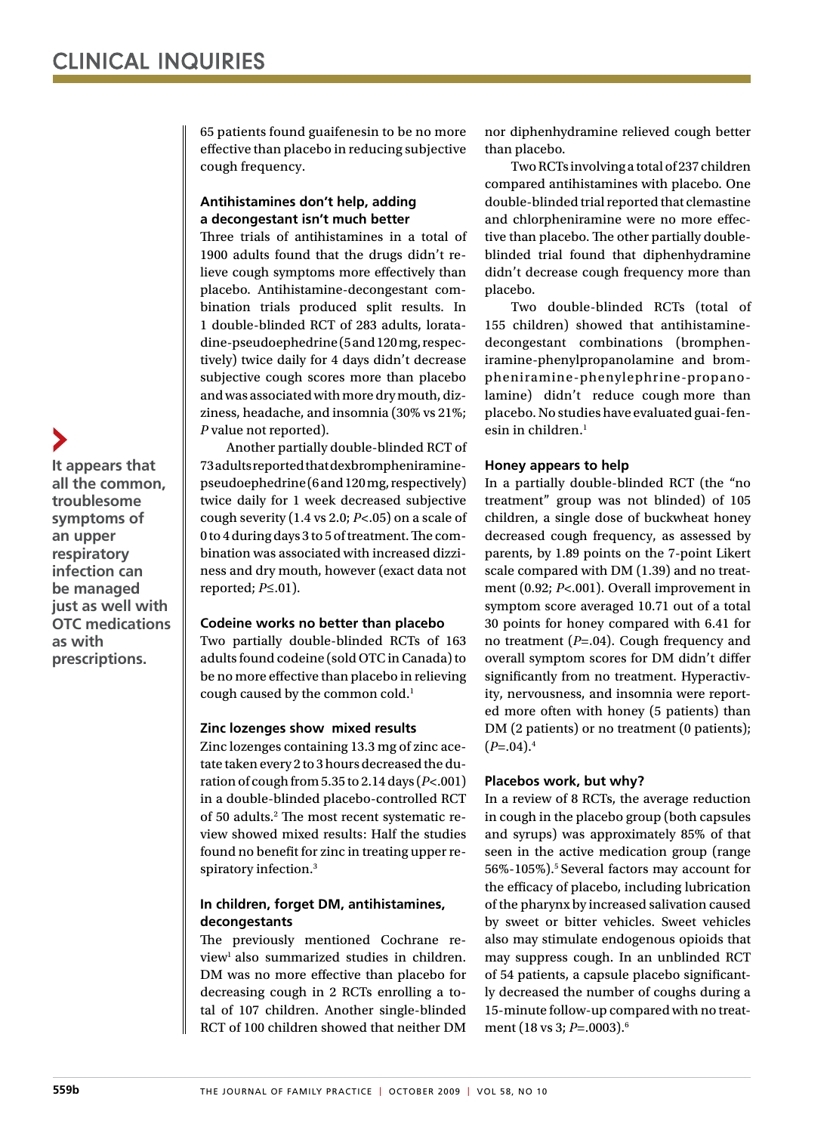65 patients found guaifenesin to be no more effective than placebo in reducing subjective cough frequency.

### **Antihistamines don't help, adding a decongestant isn't much better**

Three trials of antihistamines in a total of 1900 adults found that the drugs didn't relieve cough symptoms more effectively than placebo. Antihistamine-decongestant combination trials produced split results. In 1 double-blinded RCT of 283 adults, loratadine-pseudoephedrine (5 and 120 mg, respectively) twice daily for 4 days didn't decrease subjective cough scores more than placebo and was associated with more dry mouth, dizziness, headache, and insomnia (30% vs 21%; *P* value not reported).

Another partially double-blinded RCT of 73adultsreportedthatdexbrompheniraminepseudoephedrine(6and120mg,respectively) twice daily for 1 week decreased subjective cough severity (1.4 vs 2.0; *P*<.05) on a scale of 0 to 4 during days 3 to 5 of treatment. The combination was associated with increased dizziness and dry mouth, however (exact data not reported; *P*≤.01).

#### **Codeine works no better than placebo**

Two partially double-blinded RCTs of 163 adults found codeine (sold OTCinCanada)to be no more effective than placebo in relieving cough caused by the common cold.<sup>1</sup>

#### **Zinc lozenges show mixed results**

Zinc lozenges containing 13.3 mg of zinc acetate taken every 2 to 3 hours decreased the duration of cough from 5.35 to 2.14 days ( $P$ <.001) in a double-blinded placebo-controlled RCT of 50 adults.2 The most recent systematic review showed mixed results: Half the studies found no benefit for zinc in treating upper respiratory infection.<sup>3</sup>

#### **In children, forget DM, antihistamines, decongestants**

The previously mentioned Cochrane review<sup>1</sup> also summarized studies in children. DM was no more effective than placebo for decreasing cough in 2 RCTs enrolling a total of 107 children. Another single-blinded RCT of 100 children showed that neither DM

nor diphenhydramine relieved cough better than placebo.

TwoRCTs involving a totalof 237 children compared antihistamines with placebo. One double-blinded trial reported that clemastine and chlorpheniramine were no more effective than placebo. The other partially doubleblinded trial found that diphenhydramine didn't decrease cough frequency more than placebo.

Two double-blinded RCTs (total of 155 children) showed that antihistaminedecongestant combinations (brompheniramine-phenylpropanolamine and brompheniramine-phenylephrine-propanolamine) didn't reduce cough more than placebo.No studieshave evaluatedguai-fenesin in children. $<sup>1</sup>$ </sup>

#### **Honey appears to help**

In a partially double-blinded RCT (the "no treatment" group was not blinded) of 105 children, a single dose of buckwheat honey decreased cough frequency, as assessed by parents, by 1.89 points on the 7-point Likert scale compared with DM (1.39) and no treatment (0.92; *P*<.001). Overall improvement in symptom score averaged 10.71 out of a total 30 points for honey compared with 6.41 for no treatment (*P*=.04). Cough frequency and overall symptom scores for DM didn't differ significantly from no treatment. Hyperactivity, nervousness, and insomnia were reported more often with honey (5 patients) than DM (2 patients) or no treatment (0 patients);  $(P=.04).4$ 

#### **Placebos work, but why?**

In a review of 8 RCTs, the average reduction in cough in the placebo group (both capsules and syrups) was approximately 85% of that seen in the active medication group (range 56%-105%).5 Several factors may account for the efficacy of placebo, including lubrication of the pharynx by increased salivation caused by sweet or bitter vehicles. Sweet vehicles also may stimulate endogenous opioids that may suppress cough. In an unblinded RCT of 54 patients, a capsule placebo significantly decreased the number of coughs during a 15-minute follow-up compared with no treatment (18 vs 3; *P*=.0003).6

**It appears that all the common, troublesome symptoms of an upper respiratory infection can be managed just as well with OTC medications as with prescriptions.**